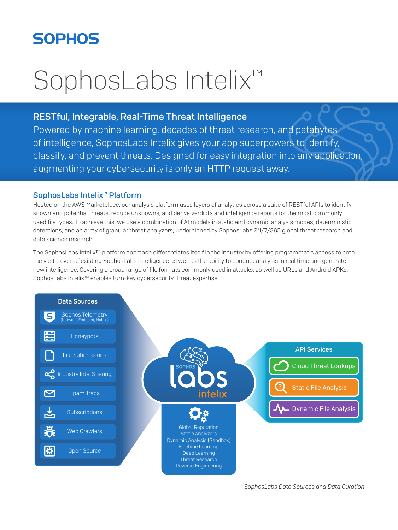# **SOPHOS**

# SophosLabs Intelix<sup>™</sup>

### RESTful, Integrable, Real-Time Threat Intelligence

Powered by machine learning, decades of threat research, and petabytes of intelligence, SophosLabs Intelix gives your app superpowers to identify, classify, and prevent threats. Designed for easy integration into any application, augmenting your cybersecurity is only an HTTP request away.

#### SophosLabs Intelix™ Platform

Hosted on the AWS Marketplace, our analysis platform uses layers of analytics across a suite of RESTful APIs to identify known and potential threats, reduce unknowns, and derive verdicts and intelligence reports for the most commonly used file types. To achieve this, we use a combination of AI models in static and dynamic analysis modes, deterministic detections, and an array of granular threat analyzers, underpinned by SophosLabs 24/7/365 global threat research and data science research.

The SophosLabs Intelix™ platform approach differentiates itself in the industry by offering programmatic access to both the vast troves of existing SophosLabs intelligence as well as the ability to conduct analysis in real time and generate new intelligence. Covering a broad range of file formats commonly used in attacks, as well as URLs and Android APKs, SophosLabs Intelix<sup>™</sup> enables turn-key cybersecurity threat expertise.